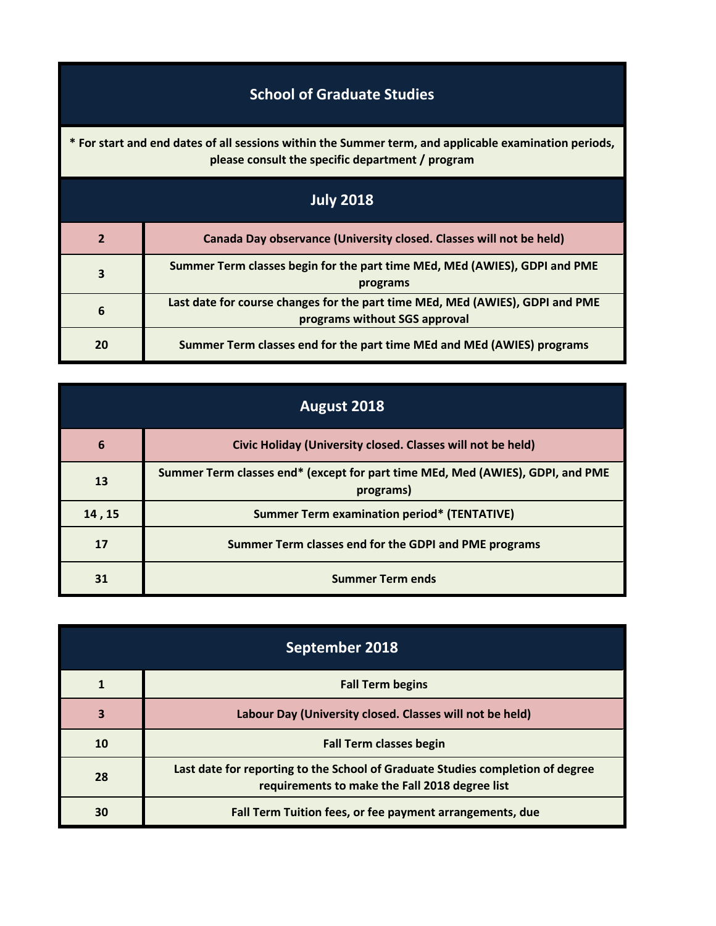## **School of Graduate Studies**

**\* For start and end dates of all sessions within the Summer term, and applicable examination periods, please consult the specific department / program**

| <b>July 2018</b> |                                                                                                                |  |
|------------------|----------------------------------------------------------------------------------------------------------------|--|
| $\overline{2}$   | Canada Day observance (University closed. Classes will not be held)                                            |  |
| 3                | Summer Term classes begin for the part time MEd, MEd (AWIES), GDPI and PME<br>programs                         |  |
| 6                | Last date for course changes for the part time MEd, MEd (AWIES), GDPI and PME<br>programs without SGS approval |  |
| 20               | Summer Term classes end for the part time MEd and MEd (AWIES) programs                                         |  |

| August 2018 |                                                                                             |
|-------------|---------------------------------------------------------------------------------------------|
| 6           | Civic Holiday (University closed. Classes will not be held)                                 |
| 13          | Summer Term classes end* (except for part time MEd, Med (AWIES), GDPI, and PME<br>programs) |
| 14, 15      | <b>Summer Term examination period* (TENTATIVE)</b>                                          |
| 17          | Summer Term classes end for the GDPI and PME programs                                       |
| 31          | <b>Summer Term ends</b>                                                                     |

| September 2018 |                                                                                                                                  |
|----------------|----------------------------------------------------------------------------------------------------------------------------------|
|                | <b>Fall Term begins</b>                                                                                                          |
| 3              | Labour Day (University closed. Classes will not be held)                                                                         |
| 10             | <b>Fall Term classes begin</b>                                                                                                   |
| 28             | Last date for reporting to the School of Graduate Studies completion of degree<br>requirements to make the Fall 2018 degree list |
| 30             | Fall Term Tuition fees, or fee payment arrangements, due                                                                         |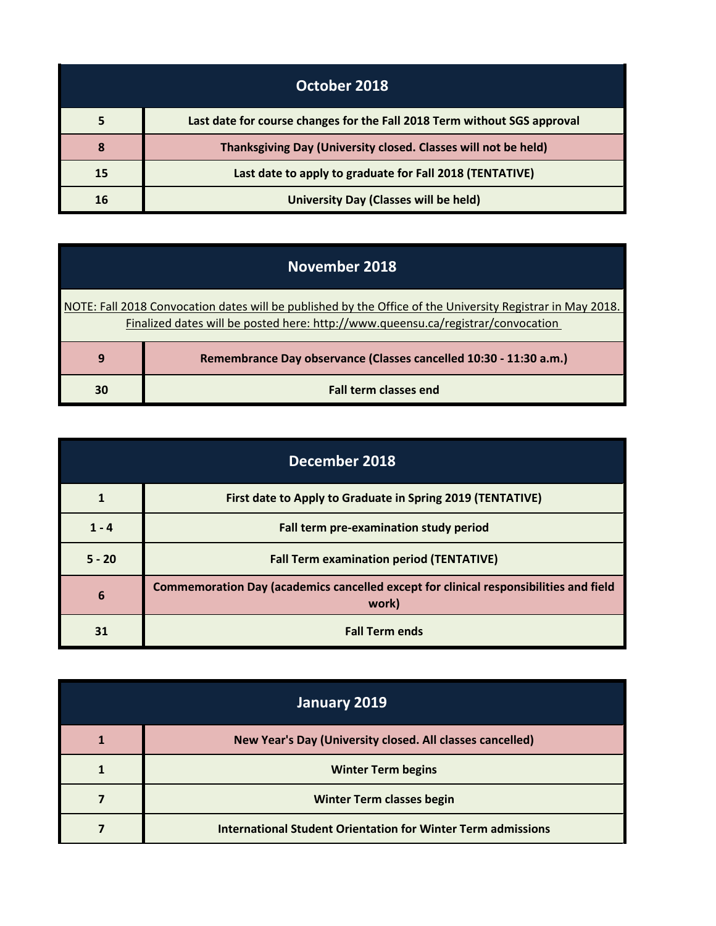| October 2018 |                                                                          |
|--------------|--------------------------------------------------------------------------|
| 5            | Last date for course changes for the Fall 2018 Term without SGS approval |
| 8            | Thanksgiving Day (University closed. Classes will not be held)           |
| 15           | Last date to apply to graduate for Fall 2018 (TENTATIVE)                 |
| 16           | University Day (Classes will be held)                                    |

| November 2018                                                                                                                                                                                  |                                                                   |
|------------------------------------------------------------------------------------------------------------------------------------------------------------------------------------------------|-------------------------------------------------------------------|
| NOTE: Fall 2018 Convocation dates will be published by the Office of the University Registrar in May 2018.<br>Finalized dates will be posted here: http://www.queensu.ca/registrar/convocation |                                                                   |
| 9                                                                                                                                                                                              | Remembrance Day observance (Classes cancelled 10:30 - 11:30 a.m.) |
| 30                                                                                                                                                                                             | <b>Fall term classes end</b>                                      |

| December 2018 |                                                                                                |
|---------------|------------------------------------------------------------------------------------------------|
|               | First date to Apply to Graduate in Spring 2019 (TENTATIVE)                                     |
| $1 - 4$       | Fall term pre-examination study period                                                         |
| $5 - 20$      | <b>Fall Term examination period (TENTATIVE)</b>                                                |
| 6             | Commemoration Day (academics cancelled except for clinical responsibilities and field<br>work) |
| 31            | <b>Fall Term ends</b>                                                                          |

| January 2019 |                                                              |
|--------------|--------------------------------------------------------------|
|              | New Year's Day (University closed. All classes cancelled)    |
|              | <b>Winter Term begins</b>                                    |
|              | <b>Winter Term classes begin</b>                             |
|              | International Student Orientation for Winter Term admissions |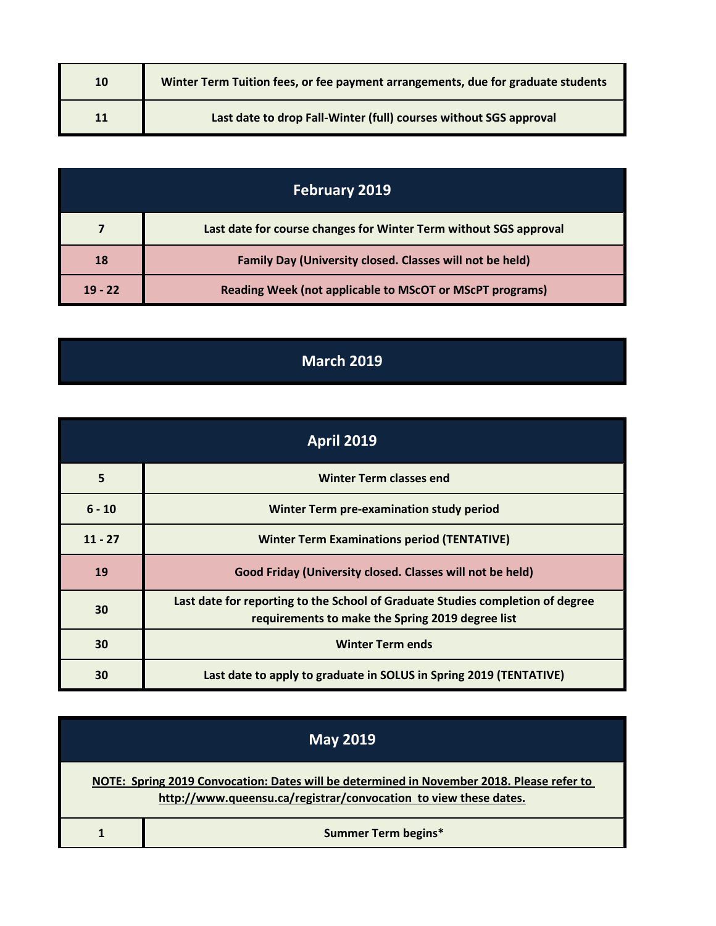| 10 | Winter Term Tuition fees, or fee payment arrangements, due for graduate students |
|----|----------------------------------------------------------------------------------|
|    | Last date to drop Fall-Winter (full) courses without SGS approval                |

| <b>February 2019</b> |                                                                   |
|----------------------|-------------------------------------------------------------------|
|                      | Last date for course changes for Winter Term without SGS approval |
| 18                   | Family Day (University closed. Classes will not be held)          |
| $19 - 22$            | <b>Reading Week (not applicable to MScOT or MScPT programs)</b>   |

## **March 2019**

| <b>April 2019</b> |                                                                                                                                    |
|-------------------|------------------------------------------------------------------------------------------------------------------------------------|
| 5                 | <b>Winter Term classes end</b>                                                                                                     |
| $6 - 10$          | Winter Term pre-examination study period                                                                                           |
| $11 - 27$         | <b>Winter Term Examinations period (TENTATIVE)</b>                                                                                 |
| 19                | Good Friday (University closed. Classes will not be held)                                                                          |
| 30                | Last date for reporting to the School of Graduate Studies completion of degree<br>requirements to make the Spring 2019 degree list |
| 30                | <b>Winter Term ends</b>                                                                                                            |
| 30                | Last date to apply to graduate in SOLUS in Spring 2019 (TENTATIVE)                                                                 |

| <b>May 2019</b>                                                                                                                                               |                            |
|---------------------------------------------------------------------------------------------------------------------------------------------------------------|----------------------------|
| NOTE: Spring 2019 Convocation: Dates will be determined in November 2018. Please refer to<br>http://www.queensu.ca/registrar/convocation to view these dates. |                            |
|                                                                                                                                                               | <b>Summer Term begins*</b> |